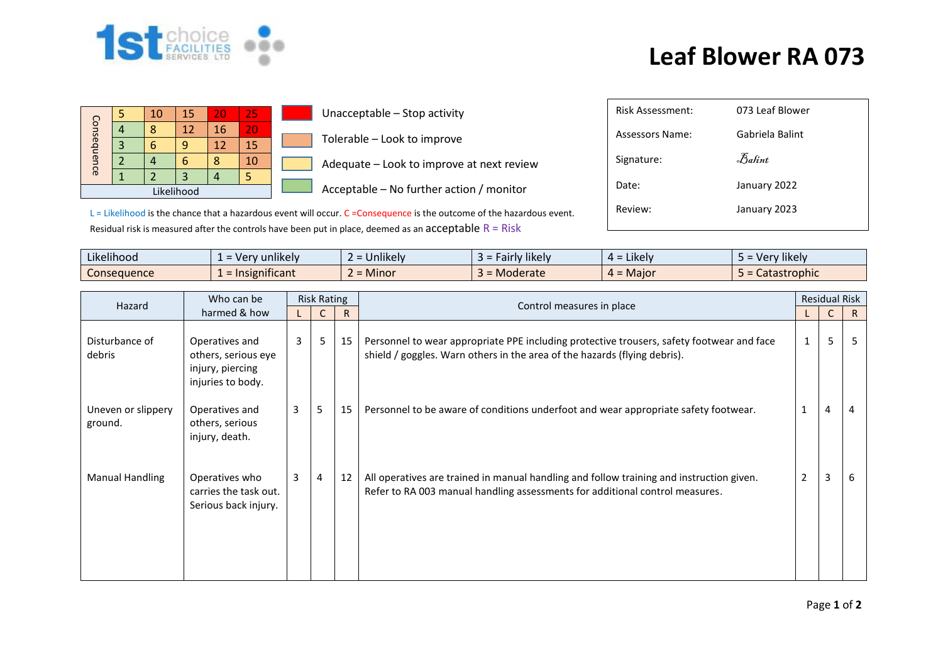

## **Leaf Blower RA 073**

|             |  | 10 | 15 |    | 257 | Unacceptable - Stop activity              | Risk Assessment:       |  |  |  |
|-------------|--|----|----|----|-----|-------------------------------------------|------------------------|--|--|--|
| Consequence |  |    | 12 | 16 | 20  |                                           | <b>Assessors Name:</b> |  |  |  |
|             |  |    | a  | 12 | 15  | Tolerable - Look to improve               |                        |  |  |  |
|             |  |    |    |    | 10  | Adequate - Look to improve at next review | Signature:             |  |  |  |
|             |  |    |    |    |     |                                           |                        |  |  |  |
| Likelihood  |  |    |    |    |     | Acceptable – No further action / monitor  | Date:                  |  |  |  |

 $L =$  Likelihood is the chance that a hazardous event will occur. C = Consequence is the outcome of the hazardous event. Residual risk is measured after the controls have been put in place, deemed as an  $acceptable R = Risk$ 

| <b>Risk Assessment:</b> | 073 Leaf Blower     |
|-------------------------|---------------------|
| Assessors Name:         | Gabriela Balint     |
| Signature:              | $\mathcal{B}$ alint |
| Date:                   | January 2022        |
| Review:                 | January 2023        |
|                         |                     |

| .<br>$\cdots$<br>Likelihood | $\cdots$<br>unlikely<br>- ver | <b>Jnlikely</b><br>$\overline{\phantom{0}}$ | $\cdots$<br>likelv<br>∙airi | <b>LIKEIV</b><br>$\overline{\phantom{0}}$<br><u>_</u> | $\cdots$<br>'v likelv<br>ver ! |
|-----------------------------|-------------------------------|---------------------------------------------|-----------------------------|-------------------------------------------------------|--------------------------------|
| Consequence                 | nsignificant                  | Minor                                       | Moderate                    | = Maior                                               | strophic<br>alasl              |

|  |                               | Who can be                                                                     | <b>Risk Rating</b> |   |    |                                                                                                                                                                          |              |   | <b>Residual Risk</b> |  |
|--|-------------------------------|--------------------------------------------------------------------------------|--------------------|---|----|--------------------------------------------------------------------------------------------------------------------------------------------------------------------------|--------------|---|----------------------|--|
|  | Hazard                        | harmed & how                                                                   |                    |   |    | Control measures in place                                                                                                                                                |              |   | R.                   |  |
|  | Disturbance of<br>debris      | Operatives and<br>others, serious eye<br>injury, piercing<br>injuries to body. | 3                  | 5 | 15 | Personnel to wear appropriate PPE including protective trousers, safety footwear and face<br>shield / goggles. Warn others in the area of the hazards (flying debris).   | $\mathbf{1}$ | 5 |                      |  |
|  | Uneven or slippery<br>ground. | Operatives and<br>others, serious<br>injury, death.                            | 3                  | 5 | 15 | Personnel to be aware of conditions underfoot and wear appropriate safety footwear.                                                                                      | 1            | 4 | 4                    |  |
|  | Manual Handling               | Operatives who<br>carries the task out.<br>Serious back injury.                | 3                  | 4 | 12 | All operatives are trained in manual handling and follow training and instruction given.<br>Refer to RA 003 manual handling assessments for additional control measures. | 2            | 3 | 6                    |  |